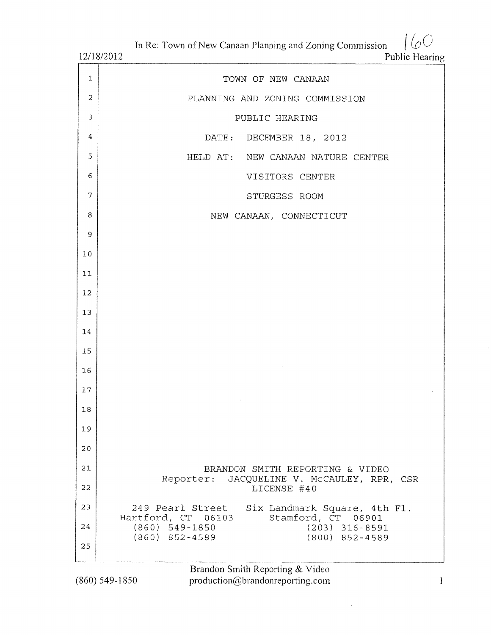$160$ In Re: Town of New Canaan Planning and Zoning Commission

12/18/2012

Public Hearing

| $\mathbf{1}$   | TOWN OF NEW CANAAN                                                               |
|----------------|----------------------------------------------------------------------------------|
| 2              | PLANNING AND ZONING COMMISSION                                                   |
| $\mathfrak{Z}$ | PUBLIC HEARING                                                                   |
| 4              | DATE: DECEMBER 18, 2012                                                          |
| 5              | HELD AT: NEW CANAAN NATURE CENTER                                                |
| 6              | VISITORS CENTER                                                                  |
| $\overline{7}$ | STURGESS ROOM                                                                    |
| 8              | NEW CANAAN, CONNECTICUT                                                          |
| 9              |                                                                                  |
| 10             |                                                                                  |
| 11             |                                                                                  |
| 12             |                                                                                  |
| 13             |                                                                                  |
| 14             |                                                                                  |
| 15             |                                                                                  |
| 16             |                                                                                  |
| 17             |                                                                                  |
| 18             |                                                                                  |
| 19             |                                                                                  |
| 20             |                                                                                  |
| 21             | BRANDON SMITH REPORTING & VIDEO                                                  |
| 22             | Reporter: JACQUELINE V. McCAULEY, RPR, CSR<br>LICENSE #40                        |
| 23             | 249 Pearl Street Six Landmark Square, 4th Fl.                                    |
| 24             | Hartford, CT 06103<br>Stamford, CT 06901<br>$(860)$ 549-1850<br>$(203)$ 316-8591 |
| 25             | $(860)$ 852-4589<br>$(800)$ 852-4589                                             |
|                |                                                                                  |

Brandon Smith Reporting & Video<br>production@brandonreporting.com

 $(860) 549 - 1850$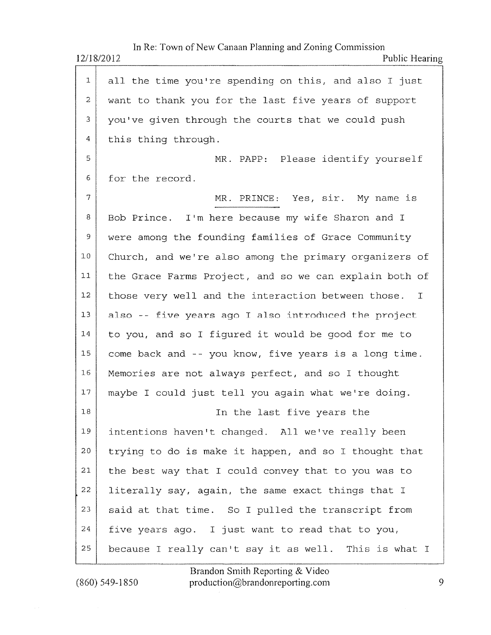|                | In Re: Town of New Canaan Planning and Zoning Commission<br>12/18/2012<br>Public Hearing |
|----------------|------------------------------------------------------------------------------------------|
| $\mathbf{1}$   | all the time you're spending on this, and also I just                                    |
| $\overline{2}$ | want to thank you for the last five years of support                                     |
| 3              | you've given through the courts that we could push                                       |
| 4              | this thing through.                                                                      |
| 5              | MR. PAPP: Please identify yourself                                                       |
| 6              | for the record.                                                                          |
| 7              | MR. PRINCE: Yes, sir. My name is                                                         |
| 8              | Bob Prince. I'm here because my wife Sharon and I                                        |
| 9              | were among the founding families of Grace Community                                      |
| 10             | Church, and we're also among the primary organizers of                                   |
| 11             | the Grace Farms Project, and so we can explain both of                                   |
| 12             | those very well and the interaction between those.<br>$\mathbb{I}$                       |
| 13             | also -- five years ago I also introduced the project                                     |
| 14             | to you, and so I figured it would be good for me to                                      |
| 15             | come back and -- you know, five years is a long time.                                    |
| 16             | Memories are not always perfect, and so I thought                                        |
| 17             | maybe I could just tell you again what we're doing.                                      |
| 18             | In the last five years the                                                               |
| 19             | intentions haven't changed. All we've really been                                        |
| 20             | trying to do is make it happen, and so I thought that                                    |
| 21             | the best way that I could convey that to you was to                                      |
| 22             | literally say, again, the same exact things that I                                       |
| 23             | said at that time. So I pulled the transcript from                                       |
| 24             | five years ago. I just want to read that to you,                                         |
| 25             | because I really can't say it as well. This is what I                                    |

Brandon Smith Reporting & Videc  $(860)$  549-1850 production@brandonreporting.com 9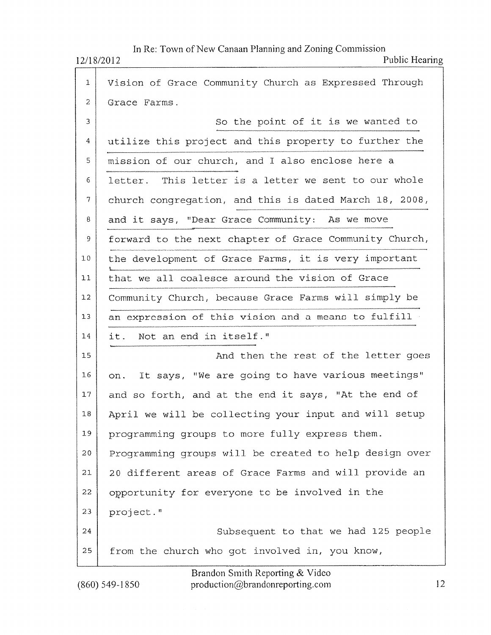## 12/18/2012

 $(860)$  549-1850

In Re: Town of New Canaan Planning and Zoning Commission

Public Hearing

| Vision of Grace Community Church as Expressed Through<br>$\mathbf{1}$<br>$\mathbf{2}$<br>Grace Farms.<br>3<br>So the point of it is we wanted to<br>utilize this project and this property to further the<br>$\overline{4}$<br>mission of our church, and I also enclose here a<br>5<br>letter. This letter is a letter we sent to our whole<br>6<br>$\overline{7}$<br>church congregation, and this is dated March 18, 2008,<br>8<br>and it says, "Dear Grace Community: As we move<br>forward to the next chapter of Grace Community Church,<br>9<br>the development of Grace Farms, it is very important<br>10<br>that we all coalesce around the vision of Grace<br>11<br>Community Church, because Grace Farms will simply be<br>12<br>13<br>an expression of this vision and a means to fulfill<br>it. Not an end in itself."<br>14<br>And then the rest of the letter goes<br>15<br>on. It says, "We are going to have various meetings"<br>16<br>and so forth, and at the end it says, "At the end of<br>17<br>April we will be collecting your input and will setup<br>$18\,$<br>19<br>programming groups to more fully express them.<br>20<br>Programming groups will be created to help design over<br>20 different areas of Grace Farms and will provide an<br>21<br>22<br>opportunity for everyone to be involved in the<br>23<br>project."<br>24<br>Subsequent to that we had 125 people<br>25<br>from the church who got involved in, you know, |  |
|----------------------------------------------------------------------------------------------------------------------------------------------------------------------------------------------------------------------------------------------------------------------------------------------------------------------------------------------------------------------------------------------------------------------------------------------------------------------------------------------------------------------------------------------------------------------------------------------------------------------------------------------------------------------------------------------------------------------------------------------------------------------------------------------------------------------------------------------------------------------------------------------------------------------------------------------------------------------------------------------------------------------------------------------------------------------------------------------------------------------------------------------------------------------------------------------------------------------------------------------------------------------------------------------------------------------------------------------------------------------------------------------------------------------------------------------------------------|--|
|                                                                                                                                                                                                                                                                                                                                                                                                                                                                                                                                                                                                                                                                                                                                                                                                                                                                                                                                                                                                                                                                                                                                                                                                                                                                                                                                                                                                                                                                |  |
|                                                                                                                                                                                                                                                                                                                                                                                                                                                                                                                                                                                                                                                                                                                                                                                                                                                                                                                                                                                                                                                                                                                                                                                                                                                                                                                                                                                                                                                                |  |
|                                                                                                                                                                                                                                                                                                                                                                                                                                                                                                                                                                                                                                                                                                                                                                                                                                                                                                                                                                                                                                                                                                                                                                                                                                                                                                                                                                                                                                                                |  |
|                                                                                                                                                                                                                                                                                                                                                                                                                                                                                                                                                                                                                                                                                                                                                                                                                                                                                                                                                                                                                                                                                                                                                                                                                                                                                                                                                                                                                                                                |  |
|                                                                                                                                                                                                                                                                                                                                                                                                                                                                                                                                                                                                                                                                                                                                                                                                                                                                                                                                                                                                                                                                                                                                                                                                                                                                                                                                                                                                                                                                |  |
|                                                                                                                                                                                                                                                                                                                                                                                                                                                                                                                                                                                                                                                                                                                                                                                                                                                                                                                                                                                                                                                                                                                                                                                                                                                                                                                                                                                                                                                                |  |
|                                                                                                                                                                                                                                                                                                                                                                                                                                                                                                                                                                                                                                                                                                                                                                                                                                                                                                                                                                                                                                                                                                                                                                                                                                                                                                                                                                                                                                                                |  |
|                                                                                                                                                                                                                                                                                                                                                                                                                                                                                                                                                                                                                                                                                                                                                                                                                                                                                                                                                                                                                                                                                                                                                                                                                                                                                                                                                                                                                                                                |  |
|                                                                                                                                                                                                                                                                                                                                                                                                                                                                                                                                                                                                                                                                                                                                                                                                                                                                                                                                                                                                                                                                                                                                                                                                                                                                                                                                                                                                                                                                |  |
|                                                                                                                                                                                                                                                                                                                                                                                                                                                                                                                                                                                                                                                                                                                                                                                                                                                                                                                                                                                                                                                                                                                                                                                                                                                                                                                                                                                                                                                                |  |
|                                                                                                                                                                                                                                                                                                                                                                                                                                                                                                                                                                                                                                                                                                                                                                                                                                                                                                                                                                                                                                                                                                                                                                                                                                                                                                                                                                                                                                                                |  |
|                                                                                                                                                                                                                                                                                                                                                                                                                                                                                                                                                                                                                                                                                                                                                                                                                                                                                                                                                                                                                                                                                                                                                                                                                                                                                                                                                                                                                                                                |  |
|                                                                                                                                                                                                                                                                                                                                                                                                                                                                                                                                                                                                                                                                                                                                                                                                                                                                                                                                                                                                                                                                                                                                                                                                                                                                                                                                                                                                                                                                |  |
|                                                                                                                                                                                                                                                                                                                                                                                                                                                                                                                                                                                                                                                                                                                                                                                                                                                                                                                                                                                                                                                                                                                                                                                                                                                                                                                                                                                                                                                                |  |
|                                                                                                                                                                                                                                                                                                                                                                                                                                                                                                                                                                                                                                                                                                                                                                                                                                                                                                                                                                                                                                                                                                                                                                                                                                                                                                                                                                                                                                                                |  |
|                                                                                                                                                                                                                                                                                                                                                                                                                                                                                                                                                                                                                                                                                                                                                                                                                                                                                                                                                                                                                                                                                                                                                                                                                                                                                                                                                                                                                                                                |  |
|                                                                                                                                                                                                                                                                                                                                                                                                                                                                                                                                                                                                                                                                                                                                                                                                                                                                                                                                                                                                                                                                                                                                                                                                                                                                                                                                                                                                                                                                |  |
|                                                                                                                                                                                                                                                                                                                                                                                                                                                                                                                                                                                                                                                                                                                                                                                                                                                                                                                                                                                                                                                                                                                                                                                                                                                                                                                                                                                                                                                                |  |
|                                                                                                                                                                                                                                                                                                                                                                                                                                                                                                                                                                                                                                                                                                                                                                                                                                                                                                                                                                                                                                                                                                                                                                                                                                                                                                                                                                                                                                                                |  |
|                                                                                                                                                                                                                                                                                                                                                                                                                                                                                                                                                                                                                                                                                                                                                                                                                                                                                                                                                                                                                                                                                                                                                                                                                                                                                                                                                                                                                                                                |  |
|                                                                                                                                                                                                                                                                                                                                                                                                                                                                                                                                                                                                                                                                                                                                                                                                                                                                                                                                                                                                                                                                                                                                                                                                                                                                                                                                                                                                                                                                |  |
|                                                                                                                                                                                                                                                                                                                                                                                                                                                                                                                                                                                                                                                                                                                                                                                                                                                                                                                                                                                                                                                                                                                                                                                                                                                                                                                                                                                                                                                                |  |
|                                                                                                                                                                                                                                                                                                                                                                                                                                                                                                                                                                                                                                                                                                                                                                                                                                                                                                                                                                                                                                                                                                                                                                                                                                                                                                                                                                                                                                                                |  |
|                                                                                                                                                                                                                                                                                                                                                                                                                                                                                                                                                                                                                                                                                                                                                                                                                                                                                                                                                                                                                                                                                                                                                                                                                                                                                                                                                                                                                                                                |  |
|                                                                                                                                                                                                                                                                                                                                                                                                                                                                                                                                                                                                                                                                                                                                                                                                                                                                                                                                                                                                                                                                                                                                                                                                                                                                                                                                                                                                                                                                |  |

Brandon Smith Reporting & Video production@brandonreporting.com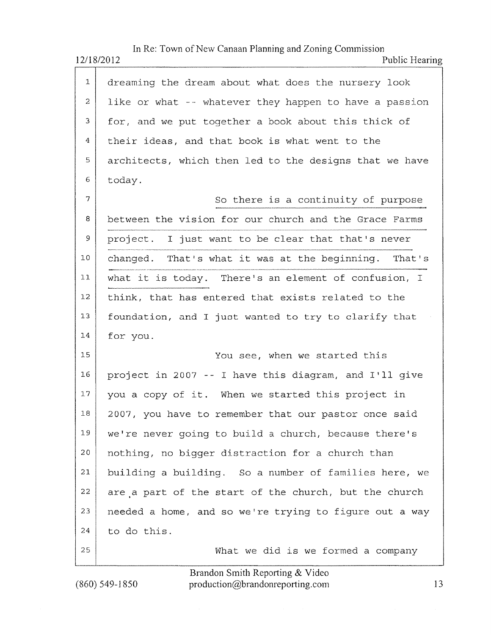|                | In Re: Town of New Canaan Planning and Zoning Commission<br>12/18/2012<br>Public Hearing |  |
|----------------|------------------------------------------------------------------------------------------|--|
| 1              | dreaming the dream about what does the nursery look                                      |  |
| $\overline{2}$ | like or what -- whatever they happen to have a passion                                   |  |
| 3              | for, and we put together a book about this thick of                                      |  |
| 4              | their ideas, and that book is what went to the                                           |  |
| 5              | architects, which then led to the designs that we have                                   |  |
| 6              | today.                                                                                   |  |
| 7              | So there is a continuity of purpose                                                      |  |
| 8              | between the vision for our church and the Grace Farms                                    |  |
| 9              | project. I just want to be clear that that's never                                       |  |
| 10             | changed. That's what it was at the beginning. That's                                     |  |
| 11             | what it is today. There's an element of confusion, I                                     |  |
| 12             | think, that has entered that exists related to the                                       |  |
| 13             | foundation, and I just wanted to try to clarify that                                     |  |
| 14             | for you.                                                                                 |  |
| 15             | You see, when we started this                                                            |  |
| 16             | project in 2007 -- I have this diagram, and I'll give                                    |  |
| $17\,$         | you a copy of it. When we started this project in                                        |  |
| 18             | 2007, you have to remember that our pastor once said                                     |  |
| 19             | we're never going to build a church, because there's                                     |  |
| 20             | nothing, no bigger distraction for a church than                                         |  |
| 21             | building a building. So a number of families here, we                                    |  |
| 22             | are a part of the start of the church, but the church                                    |  |
| 23             | needed a home, and so we're trying to figure out a way                                   |  |
| 24             | to do this.                                                                              |  |
| 25             | What we did is we formed a company                                                       |  |

Brandon Smith Reporting & Video  $(860)$  549-1850 production@brandonreporting.com  $13$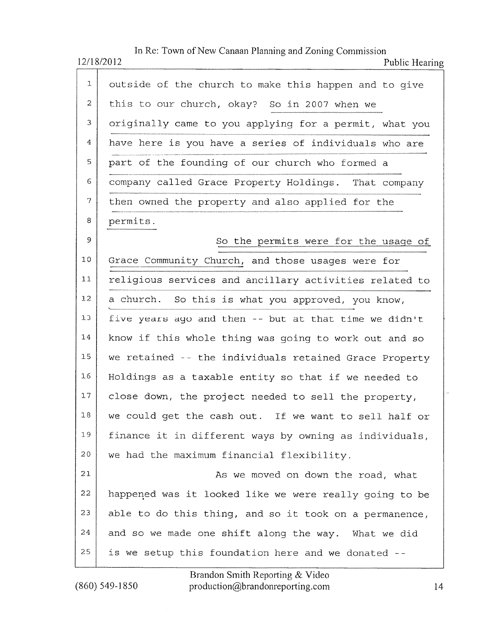In Re: Town of New Canaan Planning and Zoning Commission 12/18/2012 Public Hearing

| 1  | outside of the church to make this happen and to qive  |
|----|--------------------------------------------------------|
| 2  | this to our church, okay? So in 2007 when we           |
| 3  | originally came to you applying for a permit, what you |
| 4  | have here is you have a series of individuals who are  |
| 5  | part of the founding of our church who formed a        |
| 6  | company called Grace Property Holdings. That company   |
| 7  | then owned the property and also applied for the       |
| 8  | permits.                                               |
| 9  | So the permits were for the usage of                   |
| 10 | Grace Community Church, and those usages were for      |
| 11 | religious services and ancillary activities related to |
| 12 | a church. So this is what you approved, you know,      |
| 13 | five years ago and then -- but at that time we didn't  |
| 14 | know if this whole thing was going to work out and so  |
| 15 | we retained -- the individuals retained Grace Property |
| 16 | Holdings as a taxable entity so that if we needed to   |
| 17 | close down, the project needed to sell the property,   |
| 18 | we could get the cash out. If we want to sell half or  |
| 19 | finance it in different ways by owning as individuals, |
| 20 | we had the maximum financial flexibility.              |
| 21 | As we moved on down the road, what                     |
| 22 | happened was it looked like we were really going to be |
| 23 | able to do this thing, and so it took on a permanence, |
| 24 | and so we made one shift along the way. What we did    |
| 25 | is we setup this foundation here and we donated --     |

 $(860) 549 - 1850$ 

Brandon Smith Reporting & Video production@brandonreporting.com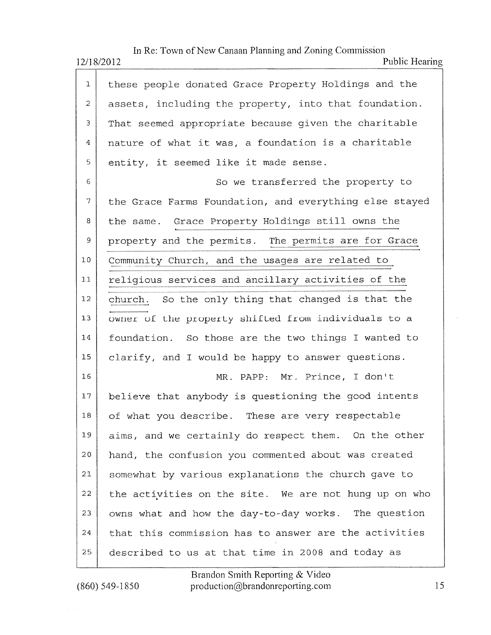In Re: Town of New Canaan Planning and Zoning Commission

12/18/2012

| T                        | these people donated Grace Property Holdings and the   |
|--------------------------|--------------------------------------------------------|
| $\overline{2}$           | assets, including the property, into that foundation.  |
| 3                        | That seemed appropriate because given the charitable   |
| 4                        | nature of what it was, a foundation is a charitable    |
| 5                        | entity, it seemed like it made sense.                  |
| 6                        | So we transferred the property to                      |
| $\overline{\mathcal{L}}$ | the Grace Farms Foundation, and everything else stayed |
| 8                        | the same. Grace Property Holdings still owns the       |
| 9                        | property and the permits. The permits are for Grace    |
| 10                       | Community Church, and the usages are related to        |
| 11                       | religious services and ancillary activities of the     |
| 12 <sub>1</sub>          | church. So the only thing that changed is that the     |
| 13                       | owner of the property shifted from individuals to a    |
| 14                       | foundation. So those are the two things I wanted to    |
| 15                       | clarify, and I would be happy to answer questions.     |
| 16                       | MR. PAPP: Mr. Prince, I don't                          |
| 17                       | believe that anybody is questioning the good intents   |
| 18                       | of what you describe. These are very respectable       |
| 19                       | aims, and we certainly do respect them. On the other   |
| 20                       | hand, the confusion you commented about was created    |
| 21                       | somewhat by various explanations the church gave to    |
| 22                       | the activities on the site. We are not hung up on who  |
| 23                       | owns what and how the day-to-day works. The question   |
| 24                       | that this commission has to answer are the activities  |
| 25                       | described to us at that time in 2008 and today as      |

 $(860)$  549-1850

Brandon Smith Reporting & Video<br>production@brandonreporting.com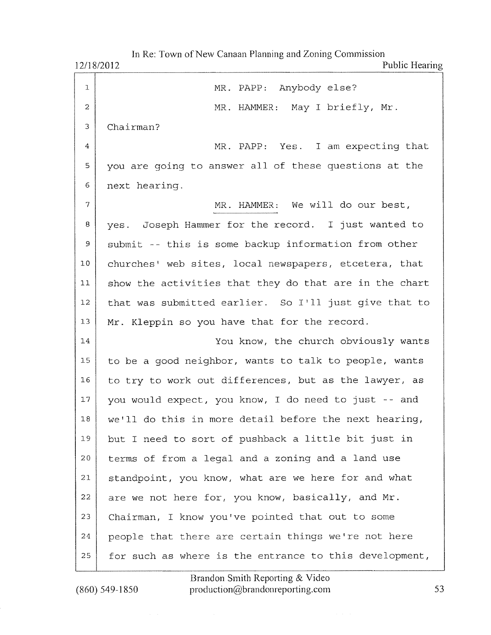|                | In Re: Town of New Canaan Planning and Zoning Commission<br>Public Hearing<br>12/18/2012 |
|----------------|------------------------------------------------------------------------------------------|
| 1              | MR. PAPP: Anybody else?                                                                  |
| $\overline{c}$ | MR. HAMMER: May I briefly, Mr.                                                           |
| 3              | Chairman?                                                                                |
| 4              | MR. PAPP: Yes. I am expecting that                                                       |
| 5              | you are going to answer all of these questions at the                                    |
| $\epsilon$     | next hearing.                                                                            |
| $\overline{7}$ | MR. HAMMER: We will do our best,                                                         |
| 8              | yes. Joseph Hammer for the record. I just wanted to                                      |
| 9              | submit -- this is some backup information from other                                     |
| 10             | churches' web sites, local newspapers, etcetera, that                                    |
| 11             | show the activities that they do that are in the chart                                   |
| 12             | that was submitted earlier. So I'll just give that to                                    |
| 13             | Mr. Kleppin so you have that for the record.                                             |
| 14             | You know, the church obviously wants                                                     |
| 15             | to be a good neighbor, wants to talk to people, wants                                    |
| 16             | to try to work out differences, but as the lawyer, as                                    |
| 17             | you would expect, you know, I do need to just -- and                                     |
| 18             | we'll do this in more detail before the next hearing,                                    |
| 19             | but I need to sort of pushback a little bit just in                                      |
| 20             | terms of from a legal and a zoning and a land use                                        |
| 21             | standpoint, you know, what are we here for and what                                      |
| 22             | are we not here for, you know, basically, and Mr.                                        |
| 23             | Chairman, I know you've pointed that out to some                                         |
| 24             | people that there are certain things we're not here                                      |
| 25             | for such as where is the entrance to this development,                                   |

 $(860) 549 - 1850$ 

Brandon Smith Reporting & Video<br>production@brandonreporting.com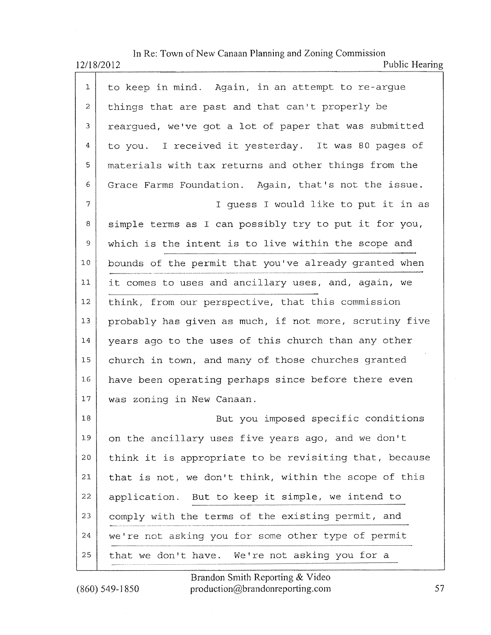In Re: Town of New Canaan Planning and Zoning Commtssron

|              | Public Hearing<br>12/18/2012                           |
|--------------|--------------------------------------------------------|
| $\mathbf{1}$ | to keep in mind. Again, in an attempt to re-argue      |
| 2            | things that are past and that can't properly be        |
| 3            | rearqued, we've got a lot of paper that was submitted  |
| 4            | to you. I received it yesterday. It was 80 pages of    |
| 5            | materials with tax returns and other things from the   |
| 6            | Grace Farms Foundation. Again, that's not the issue.   |
| 7            | I quess I would like to put it in as                   |
| 8            | simple terms as I can possibly try to put it for you,  |
| 9            | which is the intent is to live within the scope and    |
| 10           | bounds of the permit that you've already granted when  |
| 11           | it comes to uses and ancillary uses, and, again, we    |
| 12           | think, from our perspective, that this commission      |
| 13           | probably has given as much, if not more, scrutiny five |
| 14           | years ago to the uses of this church than any other    |
| 15           | church in town, and many of those churches granted     |
| 16           | have been operating perhaps since before there even    |
| 17           | was zoning in New Canaan.                              |
| $18\,$       | But you imposed specific conditions                    |
| 19           | on the ancillary uses five years ago, and we don't     |
| 20           | think it is appropriate to be revisiting that, because |
| 21           | that is not, we don't think, within the scope of this  |
| 22           | application. But to keep it simple, we intend to       |
| 23           | comply with the terms of the existing permit, and      |
| 24           | we're not asking you for some other type of permit     |
| 25           | that we don't have. We're not asking you for a         |

Brandon Smith Reporting & Video  $(860)$  549-1850 production @brandonreporting.com 57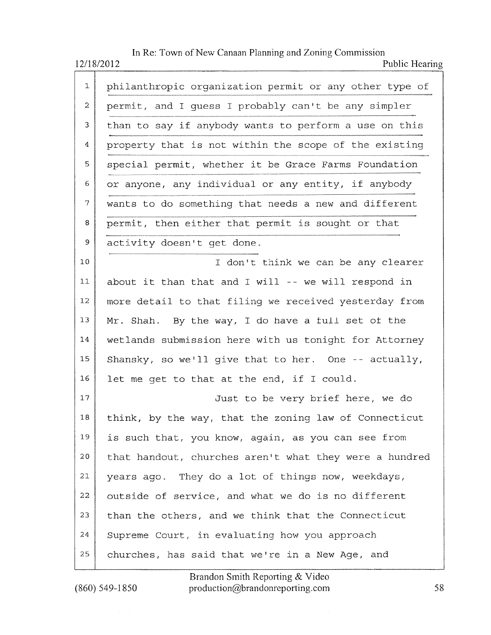In Re: Town of New Canaan Planning and Zoning Commission Public Hearing 12/18/2012

| 1  | philanthropic organization permit or any other type of |
|----|--------------------------------------------------------|
| 2  | permit, and I guess I probably can't be any simpler    |
| 3  | than to say if anybody wants to perform a use on this  |
| 4  | property that is not within the scope of the existing  |
| 5  | special permit, whether it be Grace Farms Foundation   |
| 6. | or anyone, any individual or any entity, if anybody    |
| 7  | wants to do something that needs a new and different   |
| 8  | permit, then either that permit is sought or that      |
| 9. | activity doesn't get done.                             |
| 10 | I don't think we can be any clearer                    |
| 11 | about it than that and I will $-$ - we will respond in |
| 12 | more detail to that filing we received yesterday from  |
| 13 | Mr. Shah. By the way, I do have a full set of the      |
| 14 | wetlands submission here with us tonight for Attorney  |
| 15 | Shansky, so we'll give that to her. One -- actually,   |
| 16 | let me get to that at the end, if I could.             |
| 17 | Just to be very brief here, we do                      |
| 18 | think, by the way, that the zoning law of Connecticut  |
| 19 | is such that, you know, again, as you can see from     |
| 20 | that handout, churches aren't what they were a hundred |
| 21 | years ago. They do a lot of things now, weekdays,      |
| 22 | outside of service, and what we do is no different     |
| 23 | than the others, and we think that the Connecticut     |
| 24 | Supreme Court, in evaluating how you approach          |
| 25 | churches, has said that we're in a New Age, and        |

Brandon Smith Reporting & Video production@brandonreporting.com

 $(860) 549 - 1850$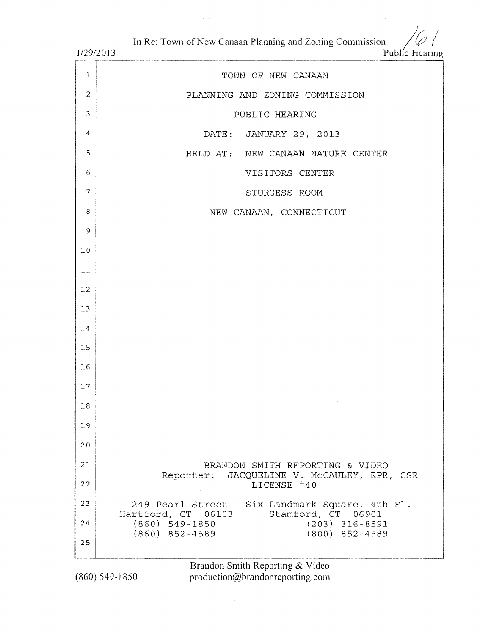In Re: Town of New Canaan Planning and Zoning Commission

 $1/20/2012$ 

| 112912013      | Public Hearing                                                                   |
|----------------|----------------------------------------------------------------------------------|
| $\mathbf{1}$   | TOWN OF NEW CANAAN                                                               |
| $\overline{a}$ | PLANNING AND ZONING COMMISSION                                                   |
| 3              | PUBLIC HEARING                                                                   |
| $\overline{4}$ | DATE: JANUARY 29, 2013                                                           |
| $\overline{5}$ | HELD AT: NEW CANAAN NATURE CENTER                                                |
| 6              | VISITORS CENTER                                                                  |
| 7              | STURGESS ROOM                                                                    |
| 8              | NEW CANAAN, CONNECTICUT                                                          |
| 9              |                                                                                  |
| 10             |                                                                                  |
| 11             |                                                                                  |
| 12             |                                                                                  |
| 13             |                                                                                  |
| 14             |                                                                                  |
| 15             |                                                                                  |
| 16             |                                                                                  |
| 17             |                                                                                  |
| 18             |                                                                                  |
| 19             |                                                                                  |
| 20             |                                                                                  |
| 21             | BRANDON SMITH REPORTING & VIDEO                                                  |
| 22             | Reporter: JACQUELINE V. McCAULEY, RPR, CSR<br>LICENSE #40                        |
| 23             | 249 Pearl Street Six Landmark Square, 4th Fl.                                    |
| 24             | Hartford, CT 06103<br>Stamford, CT 06901<br>$(203)$ 316-8591<br>$(860)$ 549-1850 |
| 25             | $(800)$ 852-4589<br>$(860)$ 852-4589                                             |
|                |                                                                                  |

 $(860)$  549-1850

Brandon Smith Reporting & Video<br>production@brandonreporting.com

 $\mathbf{l}$ 

 $\%/$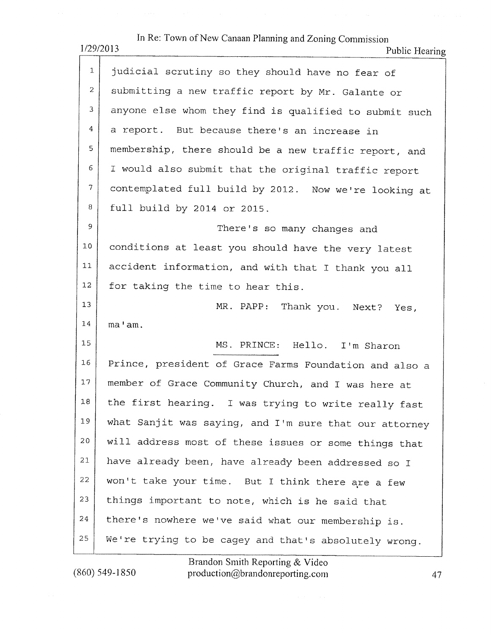|                | In Re: Town of New Canaan Planning and Zoning Commission<br>1/29/2013<br>Public Hearing |
|----------------|-----------------------------------------------------------------------------------------|
| $\mathbf{1}$   | judicial scrutiny so they should have no fear of                                        |
| $\overline{2}$ | submitting a new traffic report by Mr. Galante or                                       |
| 3              | anyone else whom they find is qualified to submit such                                  |
| 4              | a report. But because there's an increase in                                            |
| 5              | membership, there should be a new traffic report, and                                   |
| 6              | I would also submit that the original traffic report                                    |
| $\overline{7}$ | contemplated full build by 2012. Now we're looking at                                   |
| 8              | full build by 2014 or 2015.                                                             |
| 9              | There's so many changes and                                                             |
| $10$           | conditions at least you should have the very latest                                     |
| 11             | accident information, and with that I thank you all                                     |
| 12             | for taking the time to hear this.                                                       |
| 13             | MR. PAPP: Thank you. Next? Yes,                                                         |
| 14             | ma'am.                                                                                  |
| 15             | MS. PRINCE: Hello. I'm Sharon                                                           |
| 16             | Prince, president of Grace Farms Foundation and also a                                  |
| 17             | member of Grace Community Church, and I was here at                                     |
| 18             | the first hearing. I was trying to write really fast                                    |
| 19             | what Sanjit was saying, and I'm sure that our attorney                                  |
| 20             | will address most of these issues or some things that                                   |
| 21             | have already been, have already been addressed so I                                     |
| 22             | won't take your time. But I think there are a few                                       |
| 23             | things important to note, which is he said that                                         |
| 24             | there's nowhere we've said what our membership is.                                      |
| 25             | We're trying to be cagey and that's absolutely wrong.                                   |

Brandon Sniith Reporting & Video  $(860)$  549-1850 production@brandonreporting.com  $47$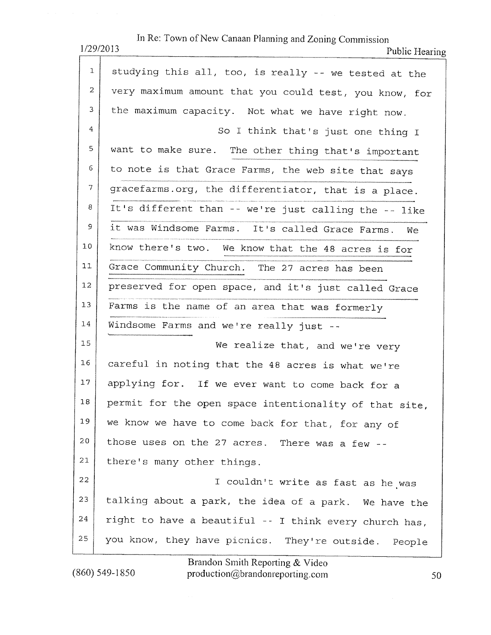|                | In Re: Town of New Canaan Planning and Zoning Commission<br>1/29/2013<br>Public Hearing |
|----------------|-----------------------------------------------------------------------------------------|
| 1              | studying this all, too, is really -- we tested at the                                   |
| 2              | very maximum amount that you could test, you know, for                                  |
| 3              | the maximum capacity. Not what we have right now.                                       |
| 4              | So I think that's just one thing I                                                      |
| 5              | want to make sure. The other thing that's important                                     |
| 6              | to note is that Grace Farms, the web site that says                                     |
| $\overline{7}$ | gracefarms.org, the differentiator, that is a place.                                    |
| 8              | It's different than -- we're just calling the -- like                                   |
| 9.             | it was Windsome Farms. It's called Grace Farms. We                                      |
| 10             | know there's two. We know that the 48 acres is for                                      |
| 11             | Grace Community Church. The 27 acres has been                                           |
| 12             | preserved for open space, and it's just called Grace                                    |
| 13             | Farms is the name of an area that was formerly                                          |
| 14             | Windsome Farms and we're really just --                                                 |
| 15             | We realize that, and we're very                                                         |
| 16             | careful in noting that the 48 acres is what we're                                       |
| 17             | applying for. If we ever want to come back for a                                        |
| $18\,$         | permit for the open space intentionality of that site,                                  |
| 19             | we know we have to come back for that, for any of                                       |
| 20             | those uses on the 27 acres. There was a few --                                          |
| 21             | there's many other things.                                                              |
| 22             | I couldn't write as fast as he was                                                      |
| 23             | talking about a park, the idea of a park. We have the                                   |
| 24             | right to have a beautiful -- I think every church has,                                  |
| 25             | you know, they have picnics. They're outside. People                                    |

 $(860)$  549-1850

Brandon Smith Reporting & Video<br>production@brandonreporting.com

50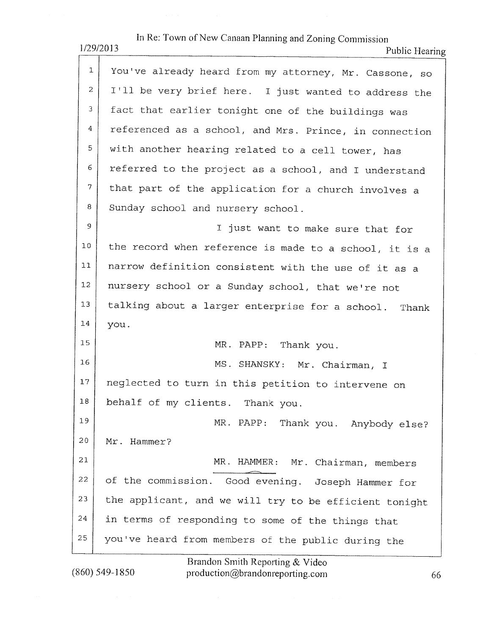| In Re: Town of New Canaan Planning and Zoning Commission<br>1/29/2013<br>Public Hearing |                                                        |  |
|-----------------------------------------------------------------------------------------|--------------------------------------------------------|--|
| $\mathbf{1}$                                                                            | You've already heard from my attorney, Mr. Cassone, so |  |
| 2                                                                                       | I'll be very brief here. I just wanted to address the  |  |
| 3                                                                                       | fact that earlier tonight one of the buildings was     |  |
| 4                                                                                       | referenced as a school, and Mrs. Prince, in connection |  |
| 5                                                                                       | with another hearing related to a cell tower, has      |  |
| 6                                                                                       | referred to the project as a school, and I understand  |  |
| 7                                                                                       | that part of the application for a church involves a   |  |
| 8                                                                                       | Sunday school and nursery school.                      |  |
| 9                                                                                       | I just want to make sure that for                      |  |
| 10                                                                                      | the record when reference is made to a school, it is a |  |
| 11                                                                                      | narrow definition consistent with the use of it as a   |  |
| 12                                                                                      | nursery school or a Sunday school, that we're not      |  |
| 13                                                                                      | talking about a larger enterprise for a school. Thank  |  |
| 14                                                                                      | you.                                                   |  |
| 15                                                                                      | MR. PAPP: Thank you.                                   |  |
| 16                                                                                      | MS. SHANSKY: Mr. Chairman, I                           |  |
| 17                                                                                      | neglected to turn in this petition to intervene on     |  |
| $18\,$                                                                                  | behalf of my clients. Thank you.                       |  |
| 19                                                                                      | MR. PAPP: Thank you. Anybody else?                     |  |
| $2\,0$                                                                                  | Mr. Hammer?                                            |  |
| 21                                                                                      | MR. HAMMER: Mr. Chairman, members                      |  |
| 22                                                                                      | of the commission. Good evening. Joseph Hammer for     |  |
| 23                                                                                      | the applicant, and we will try to be efficient tonight |  |
| 24                                                                                      | in terms of responding to some of the things that      |  |
| 25                                                                                      | you've heard from members of the public during the     |  |
|                                                                                         |                                                        |  |

 $(860) 549 - 1850$ 

Brandon Smith Reporting & Video<br>production@brandonreporting.com

66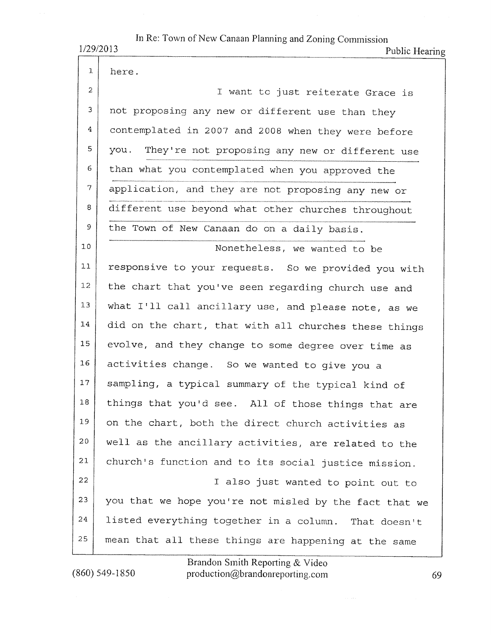| In Re: Town of New Canaan Planning and Zoning Commission<br>1/29/2013<br>Public Hearing |                                                        |
|-----------------------------------------------------------------------------------------|--------------------------------------------------------|
| 1                                                                                       | here.                                                  |
| $\overline{2}$                                                                          | I want to just reiterate Grace is                      |
| 3                                                                                       | not proposing any new or different use than they       |
| 4                                                                                       | contemplated in 2007 and 2008 when they were before    |
| 5                                                                                       | you.<br>They're not proposing any new or different use |
| 6                                                                                       | than what you contemplated when you approved the       |
| 7                                                                                       | application, and they are not proposing any new or     |
| 8                                                                                       | different use beyond what other churches throughout    |
| 9                                                                                       | the Town of New Canaan do on a daily basis.            |
| 10                                                                                      | Nonetheless, we wanted to be                           |
| 11                                                                                      | responsive to your requests. So we provided you with   |
| 12                                                                                      | the chart that you've seen regarding church use and    |
| 13                                                                                      | what I'll call ancillary use, and please note, as we   |
| 14                                                                                      | did on the chart, that with all churches these things  |
| 15                                                                                      | evolve, and they change to some degree over time as    |
| 16                                                                                      | activities change. So we wanted to give you a          |
| 17                                                                                      | sampling, a typical summary of the typical kind of     |
| 18                                                                                      | things that you'd see. All of those things that are    |
| 19                                                                                      | on the chart, both the direct church activities as     |
| 20                                                                                      | well as the ancillary activities, are related to the   |
| 21                                                                                      | church's function and to its social justice mission.   |
| 22                                                                                      | I also just wanted to point out to                     |
| 23                                                                                      | you that we hope you're not misled by the fact that we |
| 24                                                                                      | listed everything together in a column. That doesn't   |
| 25                                                                                      | mean that all these things are happening at the same   |

 $(860) 549 - 1850$ 

Brandon Smith Reporting & Video<br>production@brandonreporting.com

69